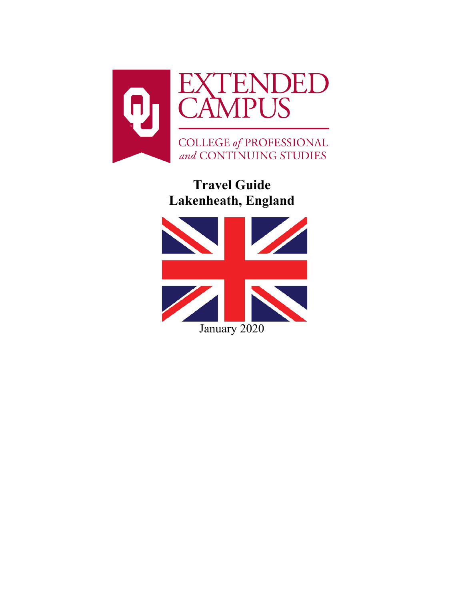

**Travel Guide Lakenheath, England**

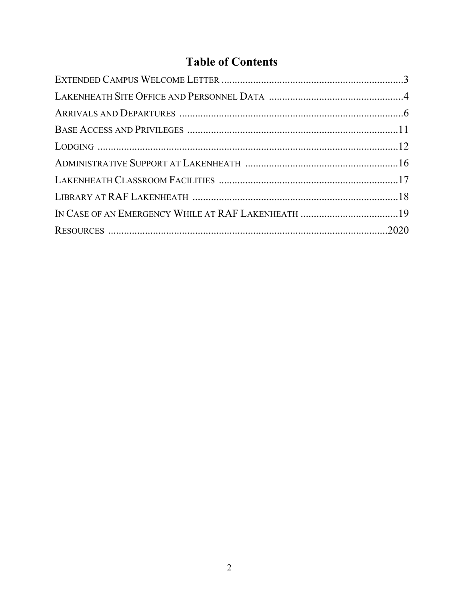# **Table of Contents**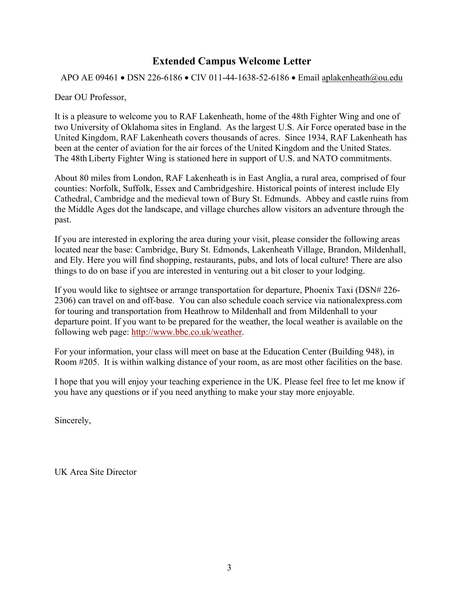# <span id="page-2-0"></span>**Extended Campus Welcome Letter**

APO AE 09461 • DSN 226-6186 • CIV 011-44-1638-52-6186 • Email [aplakenheath@ou.edu](mailto:aplakenheath@ou.edu)

Dear OU Professor,

It is a pleasure to welcome you to RAF Lakenheath, home of the 48th Fighter Wing and one of two University of Oklahoma sites in England. As the largest U.S. Air Force operated base in the United Kingdom, RAF Lakenheath covers thousands of acres. Since 1934, RAF Lakenheath has been at the center of aviation for the air forces of the United Kingdom and the United States. The 48th Liberty Fighter Wing is stationed here in support of U.S. and NATO commitments.

About 80 miles from London, RAF Lakenheath is in East Anglia, a rural area, comprised of four counties: Norfolk, Suffolk, Essex and Cambridgeshire. Historical points of interest include Ely Cathedral, Cambridge and the medieval town of Bury St. Edmunds. Abbey and castle ruins from the Middle Ages dot the landscape, and village churches allow visitors an adventure through the past.

If you are interested in exploring the area during your visit, please consider the following areas located near the base: Cambridge, Bury St. Edmonds, Lakenheath Village, Brandon, Mildenhall, and Ely. Here you will find shopping, restaurants, pubs, and lots of local culture! There are also things to do on base if you are interested in venturing out a bit closer to your lodging.

If you would like to sightsee or arrange transportation for departure, Phoenix Taxi (DSN# 226- 2306) can travel on and off-base. You can also schedule coach service via nationalexpress.com for touring and transportation from Heathrow to Mildenhall and from Mildenhall to your departure point. If you want to be prepared for the weather, the local weather is available on the following web page: [http://www.bbc.co.uk/weather.](https://exchange.ou.edu/owa/redir.aspx?C=e629b849687c4048a2b492767ede7566&URL=http%3a%2f%2fwww.bbc.co.uk%2fweather)

For your information, your class will meet on base at the Education Center (Building 948), in Room #205. It is within walking distance of your room, as are most other facilities on the base.

I hope that you will enjoy your teaching experience in the UK. Please feel free to let me know if you have any questions or if you need anything to make your stay more enjoyable.

Sincerely,

UK Area Site Director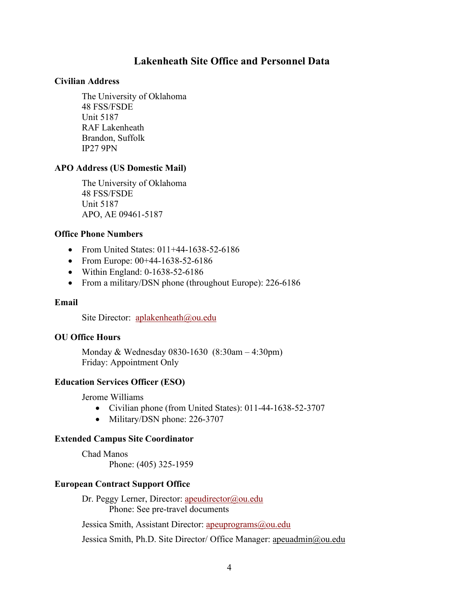# **Lakenheath Site Office and Personnel Data**

#### <span id="page-3-0"></span>**Civilian Address**

The University of Oklahoma 48 FSS/FSDE Unit 5187 RAF Lakenheath Brandon, Suffolk IP27 9PN

#### **APO Address (US Domestic Mail)**

The University of Oklahoma 48 FSS/FSDE Unit 5187 APO, AE 09461-5187

#### **Office Phone Numbers**

- From United States: 011+44-1638-52-6186
- From Europe: 00+44-1638-52-6186
- Within England: 0-1638-52-6186
- From a military/DSN phone (throughout Europe): 226-6186

#### **Email**

Site Director: [aplakenheath@ou.edu](mailto:aplakenheath@ou.edu)

#### **OU Office Hours**

Monday & Wednesday 0830-1630 (8:30am – 4:30pm) Friday: Appointment Only

#### **Education Services Officer (ESO)**

Jerome Williams

- Civilian phone (from United States): 011-44-1638-52-3707
- Military/DSN phone: 226-3707

#### **Extended Campus Site Coordinator**

Chad Manos Phone: (405) 325-1959

#### **European Contract Support Office**

Dr. Peggy Lerner, Director: [apeudirector@ou.edu](mailto:apeudirector@ou.edu) Phone: See pre-travel documents

Jessica Smith, Assistant Director: [apeuprograms@ou.edu](mailto:apeuprograms@ou.edu)

Jessica Smith, Ph.D. Site Director/ Office Manager: [apeuadmin@ou.edu](mailto:apeuadmin@ou.edu)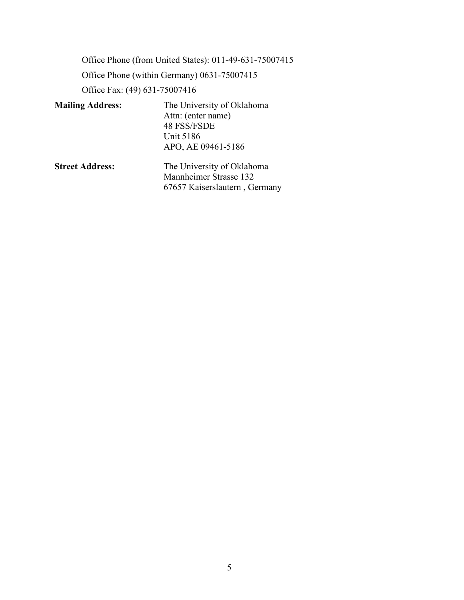Office Phone (from United States): 011-49-631-75007415 Office Phone (within Germany) 0631-75007415 Office Fax: (49) 631-75007416 **Mailing Address:** The University of Oklahoma

| <b>Mailing Address:</b> | The University of Oklahoma |
|-------------------------|----------------------------|
|                         | Attn: (enter name)         |
|                         | 48 FSS/FSDE                |
|                         | Unit 5186                  |
|                         | APO, AE 09461-5186         |
| <b>Street Address:</b>  | The University of Oklahoma |

<span id="page-4-0"></span>Mannheimer Strasse 132 67657 Kaiserslautern , Germany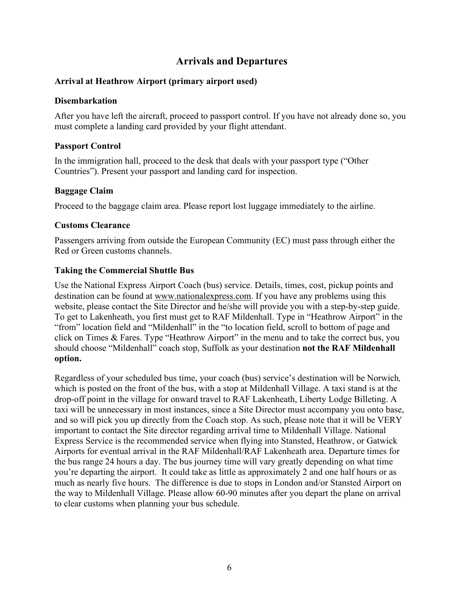# **Arrivals and Departures**

# **Arrival at Heathrow Airport (primary airport used)**

### **Disembarkation**

After you have left the aircraft, proceed to passport control. If you have not already done so, you must complete a landing card provided by your flight attendant.

# **Passport Control**

In the immigration hall, proceed to the desk that deals with your passport type ("Other Countries"). Present your passport and landing card for inspection.

# **Baggage Claim**

Proceed to the baggage claim area. Please report lost luggage immediately to the airline.

# **Customs Clearance**

Passengers arriving from outside the European Community (EC) must pass through either the Red or Green customs channels.

# **Taking the Commercial Shuttle Bus**

Use the National Express Airport Coach (bus) service. Details, times, cost, pickup points and destination can be found at [www.nationalexpress.com.](http://www.nationalexpress.com/home.aspx) If you have any problems using this website, please contact the Site Director and he/she will provide you with a step-by-step guide. To get to Lakenheath, you first must get to RAF Mildenhall. Type in "Heathrow Airport" in the "from" location field and "Mildenhall" in the "to location field, scroll to bottom of page and click on Times & Fares. Type "Heathrow Airport" in the menu and to take the correct bus, you should choose "Mildenhall" coach stop, Suffolk as your destination **not the RAF Mildenhall option.**

Regardless of your scheduled bus time, your coach (bus) service's destination will be Norwich*,* which is posted on the front of the bus, with a stop at Mildenhall Village. A taxi stand is at the drop-off point in the village for onward travel to RAF Lakenheath, Liberty Lodge Billeting. A taxi will be unnecessary in most instances, since a Site Director must accompany you onto base, and so will pick you up directly from the Coach stop. As such, please note that it will be VERY important to contact the Site director regarding arrival time to Mildenhall Village. National Express Service is the recommended service when flying into Stansted, Heathrow, or Gatwick Airports for eventual arrival in the RAF Mildenhall/RAF Lakenheath area. Departure times for the bus range 24 hours a day. The bus journey time will vary greatly depending on what time you're departing the airport. It could take as little as approximately 2 and one half hours or as much as nearly five hours. The difference is due to stops in London and/or Stansted Airport on the way to Mildenhall Village. Please allow 60-90 minutes after you depart the plane on arrival to clear customs when planning your bus schedule.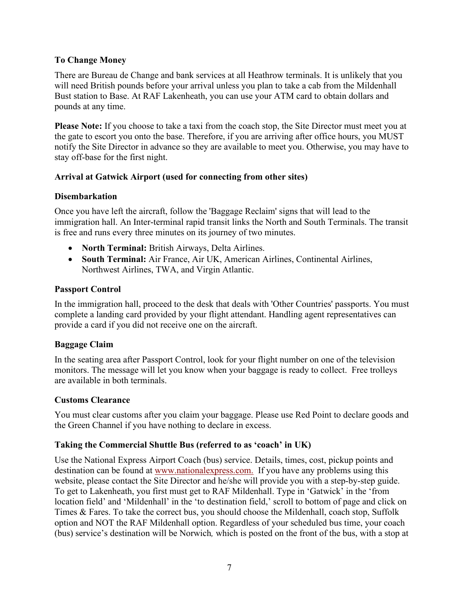# **To Change Money**

There are Bureau de Change and bank services at all Heathrow terminals. It is unlikely that you will need British pounds before your arrival unless you plan to take a cab from the Mildenhall Bust station to Base. At RAF Lakenheath, you can use your ATM card to obtain dollars and pounds at any time.

**Please Note:** If you choose to take a taxi from the coach stop, the Site Director must meet you at the gate to escort you onto the base. Therefore, if you are arriving after office hours, you MUST notify the Site Director in advance so they are available to meet you. Otherwise, you may have to stay off-base for the first night.

# **Arrival at Gatwick Airport (used for connecting from other sites)**

# **Disembarkation**

Once you have left the aircraft, follow the 'Baggage Reclaim' signs that will lead to the immigration hall. An Inter-terminal rapid transit links the North and South Terminals. The transit is free and runs every three minutes on its journey of two minutes.

- **North Terminal:** British Airways, Delta Airlines.
- **South Terminal:** Air France, Air UK, American Airlines, Continental Airlines, Northwest Airlines, TWA, and Virgin Atlantic.

# **Passport Control**

In the immigration hall, proceed to the desk that deals with 'Other Countries' passports. You must complete a landing card provided by your flight attendant. Handling agent representatives can provide a card if you did not receive one on the aircraft.

# **Baggage Claim**

In the seating area after Passport Control, look for your flight number on one of the television monitors. The message will let you know when your baggage is ready to collect. Free trolleys are available in both terminals.

# **Customs Clearance**

You must clear customs after you claim your baggage. Please use Red Point to declare goods and the Green Channel if you have nothing to declare in excess.

# **Taking the Commercial Shuttle Bus (referred to as 'coach' in UK)**

Use the National Express Airport Coach (bus) service. Details, times, cost, pickup points and destination can be found at [www.nationalexpress.com.](http://www.nationalexpress.com/home.aspx) If you have any problems using this website, please contact the Site Director and he/she will provide you with a step-by-step guide. To get to Lakenheath, you first must get to RAF Mildenhall. Type in 'Gatwick' in the 'from location field' and 'Mildenhall' in the 'to destination field,' scroll to bottom of page and click on Times & Fares. To take the correct bus, you should choose the Mildenhall, coach stop, Suffolk option and NOT the RAF Mildenhall option. Regardless of your scheduled bus time, your coach (bus) service's destination will be Norwich*,* which is posted on the front of the bus, with a stop at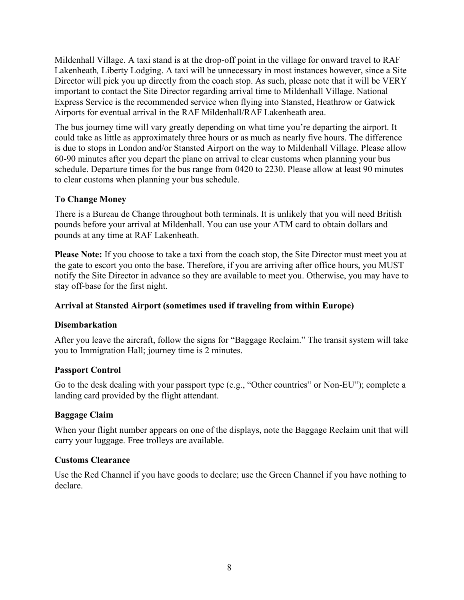Mildenhall Village. A taxi stand is at the drop-off point in the village for onward travel to RAF Lakenheath*,* Liberty Lodging. A taxi will be unnecessary in most instances however, since a Site Director will pick you up directly from the coach stop. As such, please note that it will be VERY important to contact the Site Director regarding arrival time to Mildenhall Village. National Express Service is the recommended service when flying into Stansted, Heathrow or Gatwick Airports for eventual arrival in the RAF Mildenhall/RAF Lakenheath area.

The bus journey time will vary greatly depending on what time you're departing the airport. It could take as little as approximately three hours or as much as nearly five hours. The difference is due to stops in London and/or Stansted Airport on the way to Mildenhall Village. Please allow 60-90 minutes after you depart the plane on arrival to clear customs when planning your bus schedule. Departure times for the bus range from 0420 to 2230. Please allow at least 90 minutes to clear customs when planning your bus schedule.

# **To Change Money**

There is a Bureau de Change throughout both terminals. It is unlikely that you will need British pounds before your arrival at Mildenhall. You can use your ATM card to obtain dollars and pounds at any time at RAF Lakenheath.

**Please Note:** If you choose to take a taxi from the coach stop, the Site Director must meet you at the gate to escort you onto the base. Therefore, if you are arriving after office hours, you MUST notify the Site Director in advance so they are available to meet you. Otherwise, you may have to stay off-base for the first night.

# **Arrival at Stansted Airport (sometimes used if traveling from within Europe)**

# **Disembarkation**

After you leave the aircraft, follow the signs for "Baggage Reclaim." The transit system will take you to Immigration Hall; journey time is 2 minutes.

# **Passport Control**

Go to the desk dealing with your passport type (e.g., "Other countries" or Non-EU"); complete a landing card provided by the flight attendant.

# **Baggage Claim**

When your flight number appears on one of the displays, note the Baggage Reclaim unit that will carry your luggage. Free trolleys are available.

# **Customs Clearance**

Use the Red Channel if you have goods to declare; use the Green Channel if you have nothing to declare.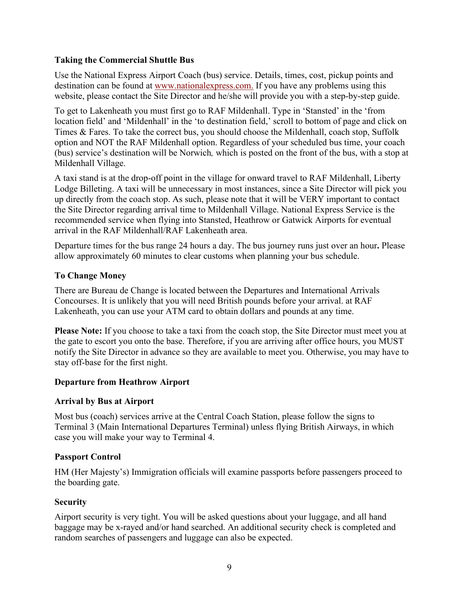### **Taking the Commercial Shuttle Bus**

Use the National Express Airport Coach (bus) service. Details, times, cost, pickup points and destination can be found at [www.nationalexpress.com.](http://www.nationalexpress.com/home.aspx) If you have any problems using this website, please contact the Site Director and he/she will provide you with a step-by-step guide.

To get to Lakenheath you must first go to RAF Mildenhall. Type in 'Stansted' in the 'from location field' and 'Mildenhall' in the 'to destination field,' scroll to bottom of page and click on Times & Fares. To take the correct bus, you should choose the Mildenhall, coach stop, Suffolk option and NOT the RAF Mildenhall option. Regardless of your scheduled bus time, your coach (bus) service's destination will be Norwich*,* which is posted on the front of the bus, with a stop at Mildenhall Village.

A taxi stand is at the drop-off point in the village for onward travel to RAF Mildenhall, Liberty Lodge Billeting. A taxi will be unnecessary in most instances, since a Site Director will pick you up directly from the coach stop. As such, please note that it will be VERY important to contact the Site Director regarding arrival time to Mildenhall Village. National Express Service is the recommended service when flying into Stansted, Heathrow or Gatwick Airports for eventual arrival in the RAF Mildenhall/RAF Lakenheath area.

Departure times for the bus range 24 hours a day. The bus journey runs just over an hour**.** Please allow approximately 60 minutes to clear customs when planning your bus schedule.

# **To Change Money**

There are Bureau de Change is located between the Departures and International Arrivals Concourses. It is unlikely that you will need British pounds before your arrival. at RAF Lakenheath, you can use your ATM card to obtain dollars and pounds at any time.

**Please Note:** If you choose to take a taxi from the coach stop, the Site Director must meet you at the gate to escort you onto the base. Therefore, if you are arriving after office hours, you MUST notify the Site Director in advance so they are available to meet you. Otherwise, you may have to stay off-base for the first night.

# **Departure from Heathrow Airport**

#### **Arrival by Bus at Airport**

Most bus (coach) services arrive at the Central Coach Station, please follow the signs to Terminal 3 (Main International Departures Terminal) unless flying British Airways, in which case you will make your way to Terminal 4.

#### **Passport Control**

HM (Her Majesty's) Immigration officials will examine passports before passengers proceed to the boarding gate.

#### **Security**

Airport security is very tight. You will be asked questions about your luggage, and all hand baggage may be x-rayed and/or hand searched. An additional security check is completed and random searches of passengers and luggage can also be expected.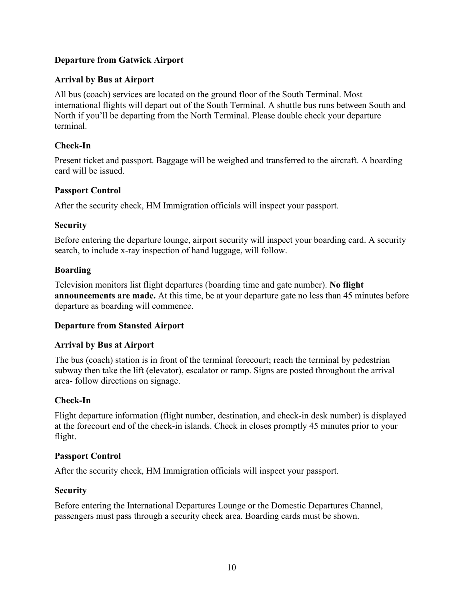# **Departure from Gatwick Airport**

# **Arrival by Bus at Airport**

All bus (coach) services are located on the ground floor of the South Terminal. Most international flights will depart out of the South Terminal. A shuttle bus runs between South and North if you'll be departing from the North Terminal. Please double check your departure terminal.

# **Check-In**

Present ticket and passport. Baggage will be weighed and transferred to the aircraft. A boarding card will be issued.

# **Passport Control**

After the security check, HM Immigration officials will inspect your passport.

### **Security**

Before entering the departure lounge, airport security will inspect your boarding card. A security search, to include x-ray inspection of hand luggage, will follow.

# **Boarding**

Television monitors list flight departures (boarding time and gate number). **No flight announcements are made.** At this time, be at your departure gate no less than 45 minutes before departure as boarding will commence.

# **Departure from Stansted Airport**

# **Arrival by Bus at Airport**

The bus (coach) station is in front of the terminal forecourt; reach the terminal by pedestrian subway then take the lift (elevator), escalator or ramp. Signs are posted throughout the arrival area- follow directions on signage.

# **Check-In**

Flight departure information (flight number, destination, and check-in desk number) is displayed at the forecourt end of the check-in islands. Check in closes promptly 45 minutes prior to your flight.

# **Passport Control**

After the security check, HM Immigration officials will inspect your passport.

#### **Security**

Before entering the International Departures Lounge or the Domestic Departures Channel, passengers must pass through a security check area. Boarding cards must be shown.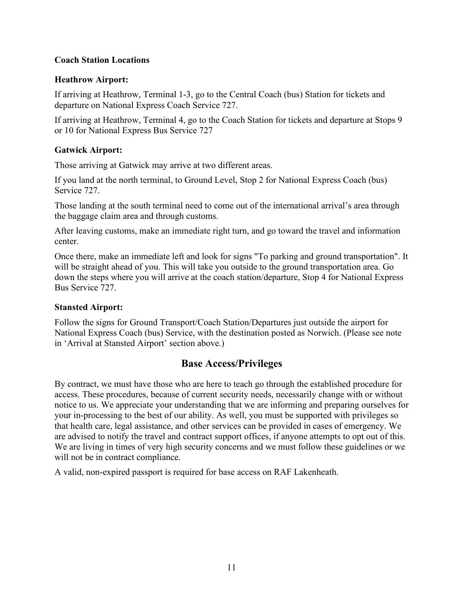### **Coach Station Locations**

### **Heathrow Airport:**

If arriving at Heathrow, Terminal 1-3, go to the Central Coach (bus) Station for tickets and departure on National Express Coach Service 727.

If arriving at Heathrow, Terminal 4, go to the Coach Station for tickets and departure at Stops 9 or 10 for National Express Bus Service 727

### **Gatwick Airport:**

Those arriving at Gatwick may arrive at two different areas.

If you land at the north terminal, to Ground Level, Stop 2 for National Express Coach (bus) Service 727.

Those landing at the south terminal need to come out of the international arrival's area through the baggage claim area and through customs.

After leaving customs, make an immediate right turn, and go toward the travel and information center.

Once there, make an immediate left and look for signs "To parking and ground transportation". It will be straight ahead of you. This will take you outside to the ground transportation area. Go down the steps where you will arrive at the coach station/departure, Stop 4 for National Express Bus Service 727.

# **Stansted Airport:**

Follow the signs for Ground Transport/Coach Station/Departures just outside the airport for National Express Coach (bus) Service, with the destination posted as Norwich. (Please see note in 'Arrival at Stansted Airport' section above.)

# **Base Access/Privileges**

By contract, we must have those who are here to teach go through the established procedure for access. These procedures, because of current security needs, necessarily change with or without notice to us. We appreciate your understanding that we are informing and preparing ourselves for your in-processing to the best of our ability. As well, you must be supported with privileges so that health care, legal assistance, and other services can be provided in cases of emergency. We are advised to notify the travel and contract support offices, if anyone attempts to opt out of this. We are living in times of very high security concerns and we must follow these guidelines or we will not be in contract compliance.

A valid, non-expired passport is required for base access on RAF Lakenheath.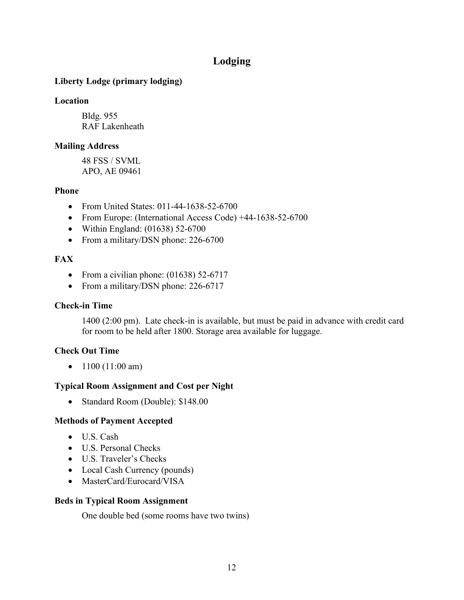# **Lodging**

# <span id="page-11-0"></span>**Liberty Lodge (primary lodging)**

### **Location**

Bldg. 955 RAF Lakenheath

# **Mailing Address**

48 FSS / SVML APO, AE 09461

# **Phone**

- From United States: 011-44-1638-52-6700
- From Europe: (International Access Code) +44-1638-52-6700
- Within England: (01638) 52-6700
- From a military/DSN phone: 226-6700

# **FAX**

- From a civilian phone: (01638) 52-6717
- From a military/DSN phone: 226-6717

# **Check-in Time**

1400 (2:00 pm). Late check-in is available, but must be paid in advance with credit card for room to be held after 1800. Storage area available for luggage.

# **Check Out Time**

•  $1100 (11:00 am)$ 

# **Typical Room Assignment and Cost per Night**

• Standard Room (Double): \$148.00

# **Methods of Payment Accepted**

- U.S. Cash
- U.S. Personal Checks
- U.S. Traveler's Checks
- Local Cash Currency (pounds)
- MasterCard/Eurocard/VISA

# **Beds in Typical Room Assignment**

One double bed (some rooms have two twins)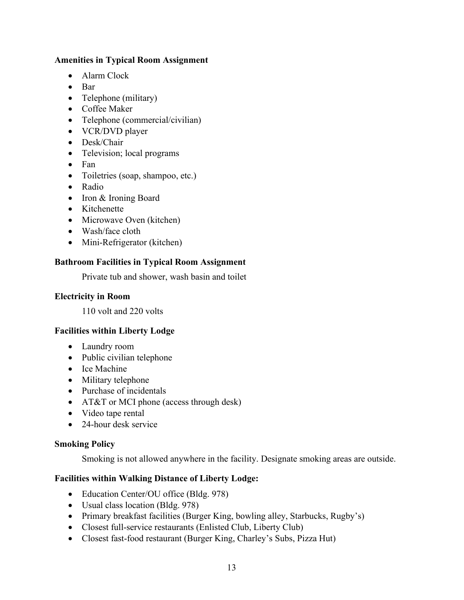### **Amenities in Typical Room Assignment**

- Alarm Clock
- Bar
- Telephone (military)
- Coffee Maker
- Telephone (commercial/civilian)
- VCR/DVD player
- Desk/Chair
- Television; local programs
- Fan
- Toiletries (soap, shampoo, etc.)
- Radio
- Iron & Ironing Board
- Kitchenette
- Microwave Oven (kitchen)
- Wash/face cloth
- Mini-Refrigerator (kitchen)

#### **Bathroom Facilities in Typical Room Assignment**

Private tub and shower, wash basin and toilet

#### **Electricity in Room**

110 volt and 220 volts

#### **Facilities within Liberty Lodge**

- Laundry room
- Public civilian telephone
- Ice Machine
- Military telephone
- Purchase of incidentals
- AT&T or MCI phone (access through desk)
- Video tape rental
- 24-hour desk service

#### **Smoking Policy**

Smoking is not allowed anywhere in the facility. Designate smoking areas are outside.

#### **Facilities within Walking Distance of Liberty Lodge:**

- Education Center/OU office (Bldg. 978)
- Usual class location (Bldg. 978)
- Primary breakfast facilities (Burger King, bowling alley, Starbucks, Rugby's)
- Closest full-service restaurants (Enlisted Club, Liberty Club)
- Closest fast-food restaurant (Burger King, Charley's Subs, Pizza Hut)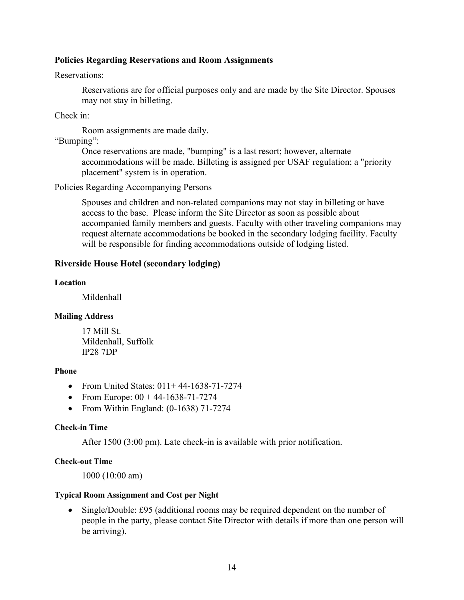#### **Policies Regarding Reservations and Room Assignments**

#### Reservations:

Reservations are for official purposes only and are made by the Site Director. Spouses may not stay in billeting.

Check in:

Room assignments are made daily.

"Bumping":

Once reservations are made, "bumping" is a last resort; however, alternate accommodations will be made. Billeting is assigned per USAF regulation; a "priority placement" system is in operation.

Policies Regarding Accompanying Persons

Spouses and children and non-related companions may not stay in billeting or have access to the base. Please inform the Site Director as soon as possible about accompanied family members and guests. Faculty with other traveling companions may request alternate accommodations be booked in the secondary lodging facility. Faculty will be responsible for finding accommodations outside of lodging listed.

#### <span id="page-13-0"></span>**Riverside House Hotel (secondary lodging)**

#### **Location**

Mildenhall

#### **Mailing Address**

17 Mill St. Mildenhall, Suffolk IP28 7DP

#### **Phone**

- From United States:  $011+44-1638-71-7274$
- From Europe:  $00 + 44 1638 71 7274$
- From Within England: (0-1638) 71-7274

#### **Check-in Time**

After 1500 (3:00 pm). Late check-in is available with prior notification.

#### **Check-out Time**

1000 (10:00 am)

#### **Typical Room Assignment and Cost per Night**

• Single/Double: £95 (additional rooms may be required dependent on the number of people in the party, please contact Site Director with details if more than one person will be arriving).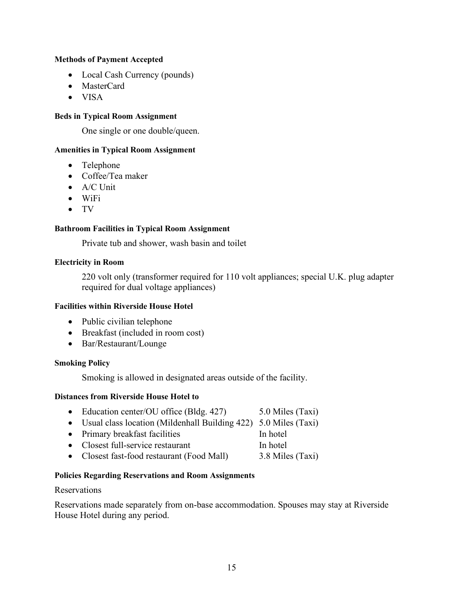#### **Methods of Payment Accepted**

- Local Cash Currency (pounds)
- MasterCard
- VISA

#### **Beds in Typical Room Assignment**

One single or one double/queen.

#### **Amenities in Typical Room Assignment**

- Telephone
- Coffee/Tea maker
- A/C Unit
- WiFi
- TV

#### **Bathroom Facilities in Typical Room Assignment**

Private tub and shower, wash basin and toilet

#### **Electricity in Room**

220 volt only (transformer required for 110 volt appliances; special U.K. plug adapter required for dual voltage appliances)

#### **Facilities within Riverside House Hotel**

- Public civilian telephone
- Breakfast (included in room cost)
- Bar/Restaurant/Lounge

#### **Smoking Policy**

Smoking is allowed in designated areas outside of the facility.

#### **Distances from Riverside House Hotel to**

- Education center/OU office (Bldg. 427) 5.0 Miles (Taxi)
- Usual class location (Mildenhall Building 422) 5.0 Miles (Taxi)
- Primary breakfast facilities In hotel
- Closest full-service restaurant In hotel
- Closest fast-food restaurant (Food Mall) 3.8 Miles (Taxi)

#### **Policies Regarding Reservations and Room Assignments**

#### Reservations

Reservations made separately from on-base accommodation. Spouses may stay at Riverside House Hotel during any period.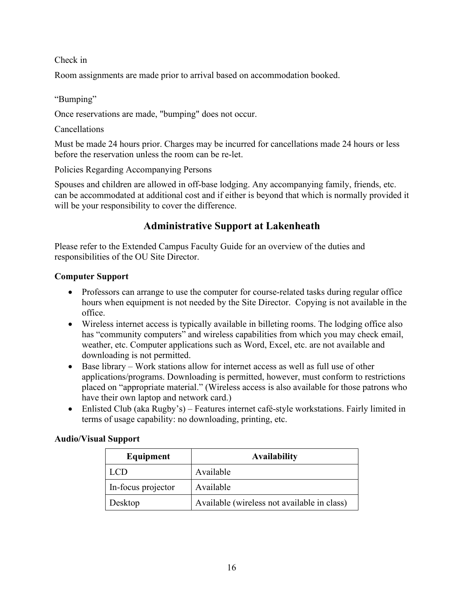# Check in

Room assignments are made prior to arrival based on accommodation booked.

### "Bumping"

Once reservations are made, "bumping" does not occur.

### Cancellations

Must be made 24 hours prior. Charges may be incurred for cancellations made 24 hours or less before the reservation unless the room can be re-let.

Policies Regarding Accompanying Persons

Spouses and children are allowed in off-base lodging. Any accompanying family, friends, etc. can be accommodated at additional cost and if either is beyond that which is normally provided it will be your responsibility to cover the difference.

# **Administrative Support at Lakenheath**

Please refer to the Extended Campus Faculty Guide for an overview of the duties and responsibilities of the OU Site Director.

# **Computer Support**

- Professors can arrange to use the computer for course-related tasks during regular office hours when equipment is not needed by the Site Director. Copying is not available in the office.
- Wireless internet access is typically available in billeting rooms. The lodging office also has "community computers" and wireless capabilities from which you may check email, weather, etc. Computer applications such as Word, Excel, etc. are not available and downloading is not permitted.
- Base library Work stations allow for internet access as well as full use of other applications/programs. Downloading is permitted, however, must conform to restrictions placed on "appropriate material." (Wireless access is also available for those patrons who have their own laptop and network card.)
- Enlisted Club (aka Rugby's) Features internet café-style workstations. Fairly limited in terms of usage capability: no downloading, printing, etc.

# **Audio/Visual Support**

| Equipment          | <b>Availability</b>                         |
|--------------------|---------------------------------------------|
| LCD                | Available                                   |
| In-focus projector | Available                                   |
| Desktop            | Available (wireless not available in class) |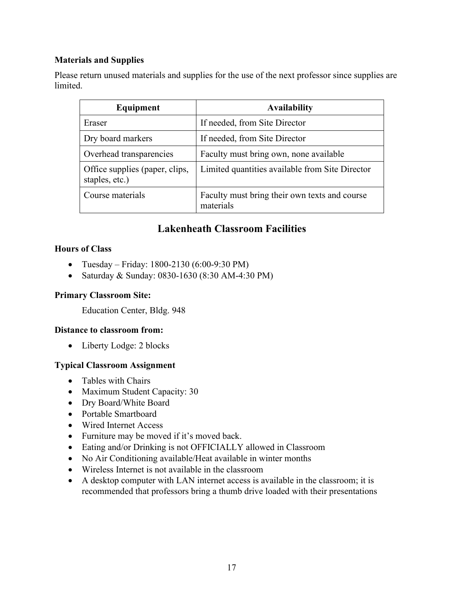# **Materials and Supplies**

Please return unused materials and supplies for the use of the next professor since supplies are limited.

| Equipment                                        | <b>Availability</b>                                        |
|--------------------------------------------------|------------------------------------------------------------|
| Eraser                                           | If needed, from Site Director                              |
| Dry board markers                                | If needed, from Site Director                              |
| Overhead transparencies                          | Faculty must bring own, none available                     |
| Office supplies (paper, clips,<br>staples, etc.) | Limited quantities available from Site Director            |
| Course materials                                 | Faculty must bring their own texts and course<br>materials |

# **Lakenheath Classroom Facilities**

# <span id="page-16-0"></span>**Hours of Class**

- Tuesday Friday: 1800-2130 (6:00-9:30 PM)
- Saturday & Sunday: 0830-1630 (8:30 AM-4:30 PM)

# **Primary Classroom Site:**

Education Center, Bldg. 948

# **Distance to classroom from:**

• Liberty Lodge: 2 blocks

# **Typical Classroom Assignment**

- Tables with Chairs
- Maximum Student Capacity: 30
- Dry Board/White Board
- Portable Smartboard
- Wired Internet Access
- Furniture may be moved if it's moved back.
- Eating and/or Drinking is not OFFICIALLY allowed in Classroom
- No Air Conditioning available/Heat available in winter months
- Wireless Internet is not available in the classroom
- A desktop computer with LAN internet access is available in the classroom; it is recommended that professors bring a thumb drive loaded with their presentations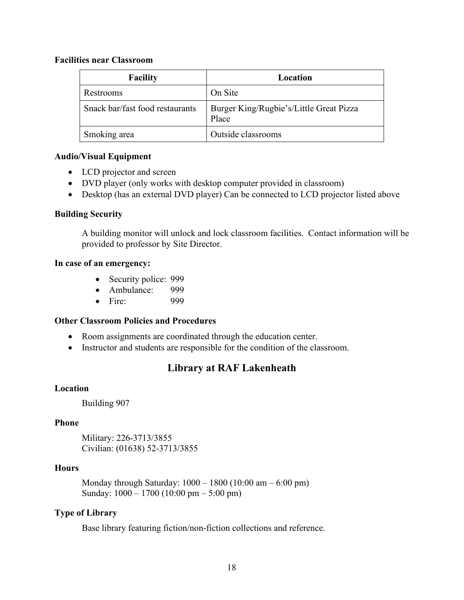#### **Facilities near Classroom**

| <b>Facility</b>                 | Location                                         |
|---------------------------------|--------------------------------------------------|
| Restrooms                       | On Site                                          |
| Snack bar/fast food restaurants | Burger King/Rugbie's/Little Great Pizza<br>Place |
| Smoking area                    | Outside classrooms                               |

#### **Audio/Visual Equipment**

- LCD projector and screen
- DVD player (only works with desktop computer provided in classroom)
- Desktop (has an external DVD player) Can be connected to LCD projector listed above

### **Building Security**

A building monitor will unlock and lock classroom facilities. Contact information will be provided to professor by Site Director.

#### **In case of an emergency:**

- Security police: 999
- Ambulance: 999
- Fire: 999

# **Other Classroom Policies and Procedures**

- Room assignments are coordinated through the education center.
- <span id="page-17-0"></span>• Instructor and students are responsible for the condition of the classroom.

# **Library at RAF Lakenheath**

#### **Location**

Building 907

#### **Phone**

Military: 226-3713/3855 Civilian: (01638) 52-3713/3855

#### **Hours**

Monday through Saturday: 1000 – 1800 (10:00 am – 6:00 pm) Sunday: 1000 – 1700 (10:00 pm – 5:00 pm)

# **Type of Library**

Base library featuring fiction/non-fiction collections and reference.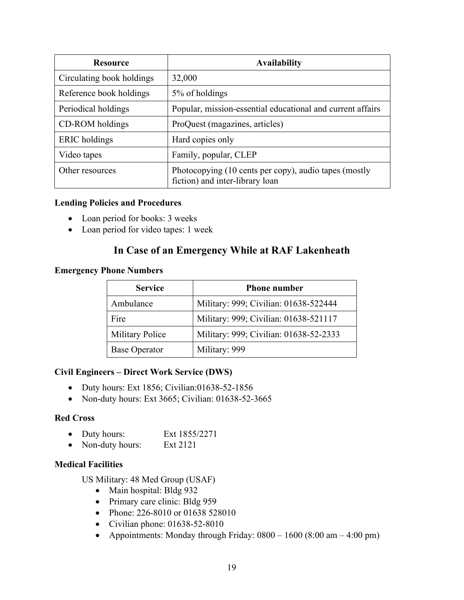| <b>Resource</b>           | <b>Availability</b>                                                                      |
|---------------------------|------------------------------------------------------------------------------------------|
| Circulating book holdings | 32,000                                                                                   |
| Reference book holdings   | 5% of holdings                                                                           |
| Periodical holdings       | Popular, mission-essential educational and current affairs                               |
| CD-ROM holdings           | ProQuest (magazines, articles)                                                           |
| <b>ERIC</b> holdings      | Hard copies only                                                                         |
| Video tapes               | Family, popular, CLEP                                                                    |
| Other resources           | Photocopying (10 cents per copy), audio tapes (mostly<br>fiction) and inter-library loan |

#### **Lending Policies and Procedures**

- Loan period for books: 3 weeks
- <span id="page-18-0"></span>• Loan period for video tapes: 1 week

# **In Case of an Emergency While at RAF Lakenheath**

#### **Emergency Phone Numbers**

| <b>Service</b>         | <b>Phone number</b>                    |
|------------------------|----------------------------------------|
| Ambulance              | Military: 999; Civilian: 01638-522444  |
| Fire                   | Military: 999; Civilian: 01638-521117  |
| <b>Military Police</b> | Military: 999; Civilian: 01638-52-2333 |
| <b>Base Operator</b>   | Military: 999                          |

#### **Civil Engineers – Direct Work Service (DWS)**

- Duty hours: Ext 1856; Civilian:01638-52-1856
- Non-duty hours: Ext 3665; Civilian: 01638-52-3665

#### **Red Cross**

- Duty hours: Ext 1855/2271
- Non-duty hours: Ext 2121

#### **Medical Facilities**

US Military: 48 Med Group (USAF)

- Main hospital: Bldg 932
- Primary care clinic: Bldg 959
- Phone: 226-8010 or 01638 528010
- Civilian phone: 01638-52-8010
- Appointments: Monday through Friday:  $0800 1600 (8:00 \text{ am} 4:00 \text{ pm})$